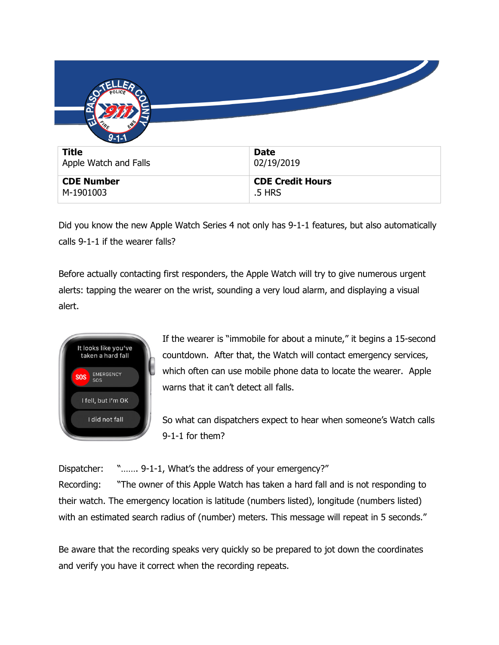| $9 - 1 - 1$                    |                                   |
|--------------------------------|-----------------------------------|
| <b>Title</b>                   | <b>Date</b>                       |
| Apple Watch and Falls          | 02/19/2019                        |
| <b>CDE Number</b><br>M-1901003 | <b>CDE Credit Hours</b><br>.5 HRS |

Did you know the new Apple Watch Series 4 not only has 9-1-1 features, but also automatically calls 9-1-1 if the wearer falls?

Before actually contacting first responders, the Apple Watch will try to give numerous urgent alerts: tapping the wearer on the wrist, sounding a very loud alarm, and displaying a visual alert.



If the wearer is "immobile for about a minute," it begins a 15-second countdown. After that, the Watch will contact emergency services, which often can use mobile phone data to locate the wearer. Apple warns that it can't detect all falls.

So what can dispatchers expect to hear when someone's Watch calls 9-1-1 for them?

Dispatcher: "....... 9-1-1, What's the address of your emergency?"

Recording: "The owner of this Apple Watch has taken a hard fall and is not responding to their watch. The emergency location is latitude (numbers listed), longitude (numbers listed) with an estimated search radius of (number) meters. This message will repeat in 5 seconds."

Be aware that the recording speaks very quickly so be prepared to jot down the coordinates and verify you have it correct when the recording repeats.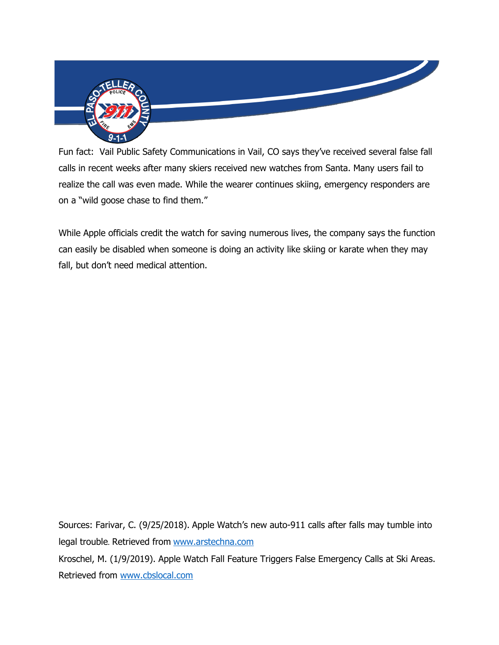

Fun fact: Vail Public Safety Communications in Vail, CO says they've received several false fall calls in recent weeks after many skiers received new watches from Santa. Many users fail to realize the call was even made. While the wearer continues skiing, emergency responders are on a "wild goose chase to find them."

While Apple officials credit the watch for saving numerous lives, the company says the function can easily be disabled when someone is doing an activity like skiing or karate when they may fall, but don't need medical attention.

Sources: Farivar, C. (9/25/2018). Apple Watch's new auto-911 calls after falls may tumble into legal trouble. Retrieved from [www.arstechna.com](http://www.arstechna.com/) Kroschel, M. (1/9/2019). Apple Watch Fall Feature Triggers False Emergency Calls at Ski Areas. Retrieved from [www.cbslocal.com](http://www.cbslocal.com/)